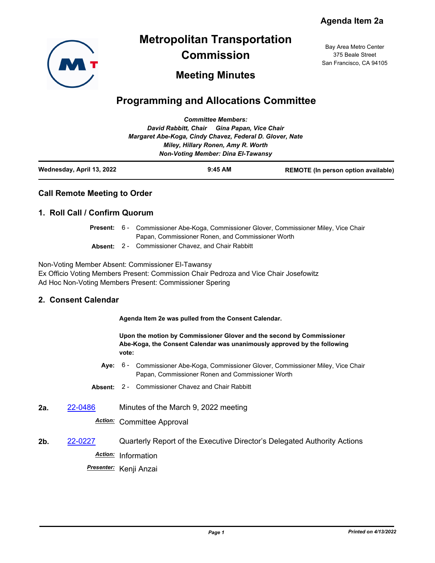

# **Metropolitan Transportation Commission**

Bay Area Metro Center 375 Beale Street San Francisco, CA 94105

# **Meeting Minutes**

# **Programming and Allocations Committee**

|                           | <b>Committee Members:</b>                                |           |                                            |
|---------------------------|----------------------------------------------------------|-----------|--------------------------------------------|
|                           | David Rabbitt, Chair Gina Papan, Vice Chair              |           |                                            |
|                           | Margaret Abe-Koga, Cindy Chavez, Federal D. Glover, Nate |           |                                            |
|                           | Miley, Hillary Ronen, Amy R. Worth                       |           |                                            |
|                           | <b>Non-Voting Member: Dina El-Tawansy</b>                |           |                                            |
| Wednesday, April 13, 2022 |                                                          | $9:45$ AM | <b>REMOTE</b> (In person option available) |

## **Call Remote Meeting to Order**

## **1. Roll Call / Confirm Quorum**

|  | <b>Present:</b> 6 - Commissioner Abe-Koga, Commissioner Glover, Commissioner Miley, Vice Chair |  |
|--|------------------------------------------------------------------------------------------------|--|
|  | Papan, Commissioner Ronen, and Commissioner Worth                                              |  |
|  | <b>Absent: 2 - Commissioner Chavez, and Chair Rabbitt</b>                                      |  |

Non-Voting Member Absent: Commissioner El-Tawansy Ex Officio Voting Members Present: Commission Chair Pedroza and Vice Chair Josefowitz Ad Hoc Non-Voting Members Present: Commissioner Spering

#### **2. Consent Calendar**

**Agenda Item 2e was pulled from the Consent Calendar.**

**Upon the motion by Commissioner Glover and the second by Commissioner Abe-Koga, the Consent Calendar was unanimously approved by the following vote:**

- Aye: 6 Commissioner Abe-Koga, Commissioner Glover, Commissioner Miley, Vice Chair Papan, Commissioner Ronen and Commissioner Worth
- **Absent:** 2 Commissioner Chavez and Chair Rabbitt
- **2a.** [22-0486](http://mtc.legistar.com/gateway.aspx?m=l&id=/matter.aspx?key=23745) Minutes of the March 9, 2022 meeting

*Action:* Committee Approval

**2b.** [22-0227](http://mtc.legistar.com/gateway.aspx?m=l&id=/matter.aspx?key=23486) Quarterly Report of the Executive Director's Delegated Authority Actions *Action:* Information

*Presenter:* Kenji Anzai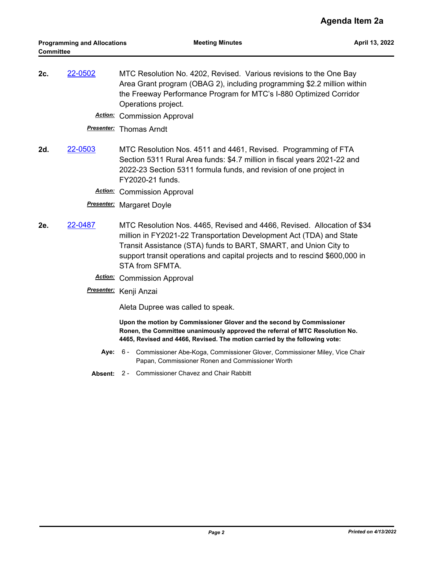**2c.** [22-0502](http://mtc.legistar.com/gateway.aspx?m=l&id=/matter.aspx?key=23761) MTC Resolution No. 4202, Revised. Various revisions to the One Bay Area Grant program (OBAG 2), including programming \$2.2 million within the Freeway Performance Program for MTC's I-880 Optimized Corridor Operations project.

*Action:* Commission Approval

*Presenter:* Thomas Arndt

- **2d.** [22-0503](http://mtc.legistar.com/gateway.aspx?m=l&id=/matter.aspx?key=23762) MTC Resolution Nos. 4511 and 4461, Revised. Programming of FTA Section 5311 Rural Area funds: \$4.7 million in fiscal years 2021-22 and 2022-23 Section 5311 formula funds, and revision of one project in FY2020-21 funds.
	- *Action:* Commission Approval

#### *Presenter:* Margaret Doyle

- **2e.** [22-0487](http://mtc.legistar.com/gateway.aspx?m=l&id=/matter.aspx?key=23746) MTC Resolution Nos. 4465, Revised and 4466, Revised. Allocation of \$34 million in FY2021-22 Transportation Development Act (TDA) and State Transit Assistance (STA) funds to BART, SMART, and Union City to support transit operations and capital projects and to rescind \$600,000 in STA from SFMTA.
	- *Action:* Commission Approval
	- *Presenter:* Kenji Anzai

Aleta Dupree was called to speak.

**Upon the motion by Commissioner Glover and the second by Commissioner Ronen, the Committee unanimously approved the referral of MTC Resolution No. 4465, Revised and 4466, Revised. The motion carried by the following vote:**

- Aye: 6 Commissioner Abe-Koga, Commissioner Glover, Commissioner Miley, Vice Chair Papan, Commissioner Ronen and Commissioner Worth
- **Absent:** 2 Commissioner Chavez and Chair Rabbitt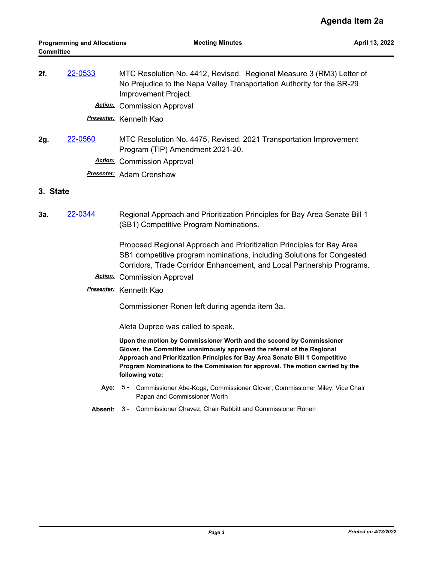| 2f. | 22-0533 | MTC Resolution No. 4412, Revised. Regional Measure 3 (RM3) Letter of<br>No Prejudice to the Napa Valley Transportation Authority for the SR-29<br>Improvement Project. |
|-----|---------|------------------------------------------------------------------------------------------------------------------------------------------------------------------------|
|     |         | <b>Action:</b> Commission Approval                                                                                                                                     |

*Presenter:* Kenneth Kao

**2g.** [22-0560](http://mtc.legistar.com/gateway.aspx?m=l&id=/matter.aspx?key=23819) MTC Resolution No. 4475, Revised. 2021 Transportation Improvement Program (TIP) Amendment 2021-20.

*Action:* Commission Approval

*Presenter:* Adam Crenshaw

#### **3. State**

**3a.** [22-0344](http://mtc.legistar.com/gateway.aspx?m=l&id=/matter.aspx?key=23603) Regional Approach and Prioritization Principles for Bay Area Senate Bill 1 (SB1) Competitive Program Nominations.

> Proposed Regional Approach and Prioritization Principles for Bay Area SB1 competitive program nominations, including Solutions for Congested Corridors, Trade Corridor Enhancement, and Local Partnership Programs.

- *Action:* Commission Approval
- *Presenter:* Kenneth Kao

Commissioner Ronen left during agenda item 3a.

Aleta Dupree was called to speak.

**Upon the motion by Commissioner Worth and the second by Commissioner Glover, the Committee unanimously approved the referral of the Regional Approach and Prioritization Principles for Bay Area Senate Bill 1 Competitive Program Nominations to the Commission for approval. The motion carried by the following vote:**

- Aye: 5 Commissioner Abe-Koga, Commissioner Glover, Commissioner Miley, Vice Chair Papan and Commissioner Worth
- **Absent:** 3 Commissioner Chavez, Chair Rabbitt and Commissioner Ronen